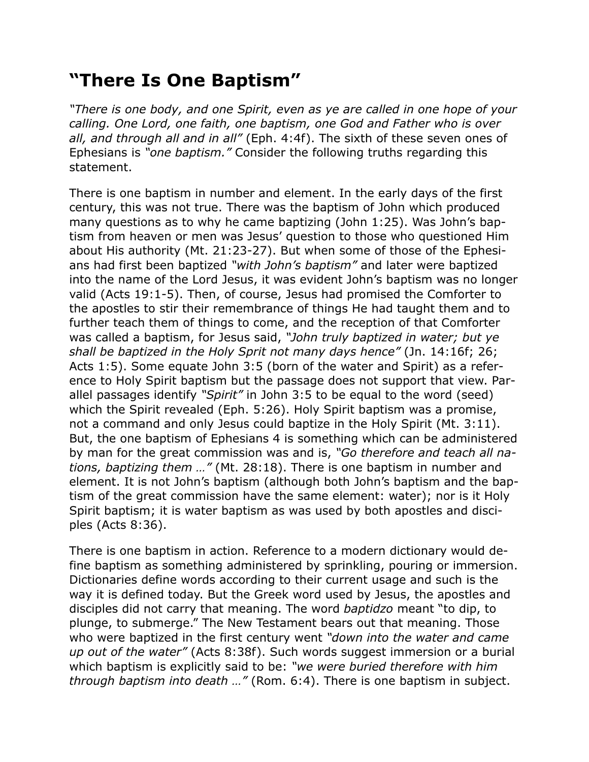## **"There Is One Baptism"**

*"There is one body, and one Spirit, even as ye are called in one hope of your calling. One Lord, one faith, one baptism, one God and Father who is over all, and through all and in all"* (Eph. 4:4f). The sixth of these seven ones of Ephesians is *"one baptism."* Consider the following truths regarding this statement.

There is one baptism in number and element. In the early days of the first century, this was not true. There was the baptism of John which produced many questions as to why he came baptizing (John 1:25). Was John's baptism from heaven or men was Jesus' question to those who questioned Him about His authority (Mt. 21:23-27). But when some of those of the Ephesians had first been baptized *"with John's baptism"* and later were baptized into the name of the Lord Jesus, it was evident John's baptism was no longer valid (Acts 19:1-5). Then, of course, Jesus had promised the Comforter to the apostles to stir their remembrance of things He had taught them and to further teach them of things to come, and the reception of that Comforter was called a baptism, for Jesus said, *"John truly baptized in water; but ye shall be baptized in the Holy Sprit not many days hence"* (Jn. 14:16f; 26; Acts 1:5). Some equate John 3:5 (born of the water and Spirit) as a reference to Holy Spirit baptism but the passage does not support that view. Parallel passages identify *"Spirit"* in John 3:5 to be equal to the word (seed) which the Spirit revealed (Eph. 5:26). Holy Spirit baptism was a promise, not a command and only Jesus could baptize in the Holy Spirit (Mt. 3:11). But, the one baptism of Ephesians 4 is something which can be administered by man for the great commission was and is, *"Go therefore and teach all nations, baptizing them …"* (Mt. 28:18). There is one baptism in number and element. It is not John's baptism (although both John's baptism and the baptism of the great commission have the same element: water); nor is it Holy Spirit baptism; it is water baptism as was used by both apostles and disciples (Acts 8:36).

There is one baptism in action. Reference to a modern dictionary would define baptism as something administered by sprinkling, pouring or immersion. Dictionaries define words according to their current usage and such is the way it is defined today. But the Greek word used by Jesus, the apostles and disciples did not carry that meaning. The word *baptidzo* meant "to dip, to plunge, to submerge." The New Testament bears out that meaning. Those who were baptized in the first century went *"down into the water and came up out of the water"* (Acts 8:38f). Such words suggest immersion or a burial which baptism is explicitly said to be: *"we were buried therefore with him through baptism into death …"* (Rom. 6:4). There is one baptism in subject.